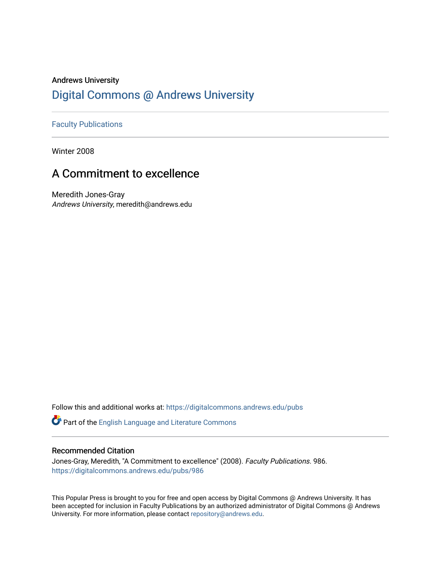### Andrews University [Digital Commons @ Andrews University](https://digitalcommons.andrews.edu/)

#### [Faculty Publications](https://digitalcommons.andrews.edu/pubs)

Winter 2008

## A Commitment to excellence

Meredith Jones-Gray Andrews University, meredith@andrews.edu

Follow this and additional works at: [https://digitalcommons.andrews.edu/pubs](https://digitalcommons.andrews.edu/pubs?utm_source=digitalcommons.andrews.edu%2Fpubs%2F986&utm_medium=PDF&utm_campaign=PDFCoverPages) 

Part of the [English Language and Literature Commons](http://network.bepress.com/hgg/discipline/455?utm_source=digitalcommons.andrews.edu%2Fpubs%2F986&utm_medium=PDF&utm_campaign=PDFCoverPages)

#### Recommended Citation

Jones-Gray, Meredith, "A Commitment to excellence" (2008). Faculty Publications. 986. [https://digitalcommons.andrews.edu/pubs/986](https://digitalcommons.andrews.edu/pubs/986?utm_source=digitalcommons.andrews.edu%2Fpubs%2F986&utm_medium=PDF&utm_campaign=PDFCoverPages) 

This Popular Press is brought to you for free and open access by Digital Commons @ Andrews University. It has been accepted for inclusion in Faculty Publications by an authorized administrator of Digital Commons @ Andrews University. For more information, please contact [repository@andrews.edu](mailto:repository@andrews.edu).